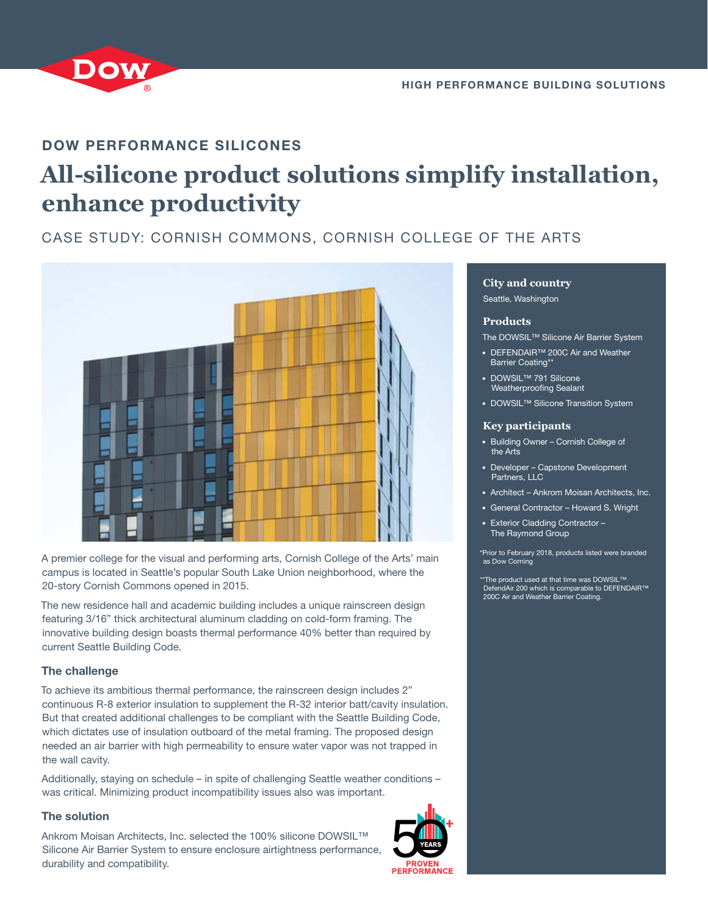

### DOW PERFORMANCE SILICONES

# **All-silicone product solutions simplify installation, enhance productivity**

## CASE STUDY: CORNISH COMMONS, CORNISH COLLEGE OF THE ARTS



A premier college for the visual and performing arts, Cornish College of the Arts' main campus is located in Seattle's popular South Lake Union neighborhood, where the 20-story Cornish Commons opened in 2015.

The new residence hall and academic building includes a unique rainscreen design featuring 3/16" thick architectural aluminum cladding on cold-form framing. The innovative building design boasts thermal performance 40% better than required by current Seattle Building Code.

#### The challenge

To achieve its ambitious thermal performance, the rainscreen design includes 2" continuous R-8 exterior insulation to supplement the R-32 interior batt/cavity insulation. But that created additional challenges to be compliant with the Seattle Building Code, which dictates use of insulation outboard of the metal framing. The proposed design needed an air barrier with high permeability to ensure water vapor was not trapped in the wall cavity.

Additionally, staying on schedule – in spite of challenging Seattle weather conditions – was critical. Minimizing product incompatibility issues also was important.

#### The solution

Ankrom Moisan Architects, Inc. selected the 100% silicone DOWSIL™ Silicone Air Barrier System to ensure enclosure airtightness performance, durability and compatibility.



#### **City and country**

Seattle, Washington

#### **Products**

The DOWSIL™ Silicone Air Barrier System

- **•** DEFENDAIR™ 200C Air and Weather Barrier Coating\*\*
- **•** DOWSIL™ 791 Silicone Weatherproofing Sealant
- **•** DOWSIL™ Silicone Transition System

#### **Key participants**

- **•** Building Owner Cornish College of the Arts
- **•** Developer Capstone Development Partners, LLC
- **•** Architect Ankrom Moisan Architects, Inc.
- **•** General Contractor Howard S. Wright
- **•** Exterior Cladding Contractor The Raymond Group

\*Prior to February 2018, products listed were branded as Dow Corning

\*The product used at that time was DOWSIL™ dAir 200 which is comparable to DEFENDAIR™ 200C Air and Weather Barrier Coating.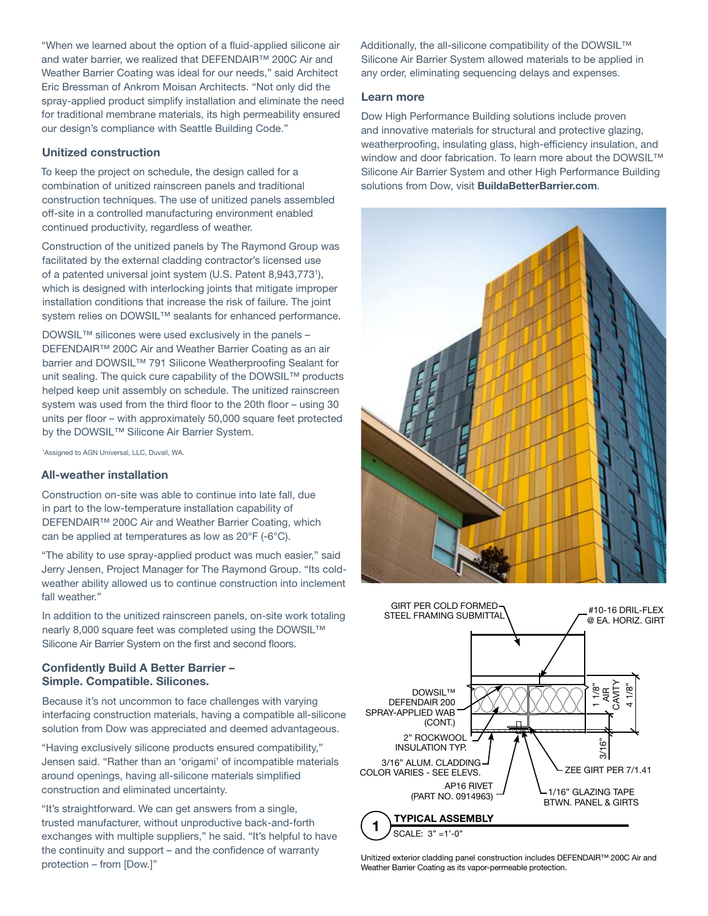"When we learned about the option of a fluid-applied silicone air and water barrier, we realized that DEFENDAIR™ 200C Air and Weather Barrier Coating was ideal for our needs," said Architect Eric Bressman of Ankrom Moisan Architects. "Not only did the spray-applied product simplify installation and eliminate the need for traditional membrane materials, its high permeability ensured our design's compliance with Seattle Building Code."

#### Unitized construction

To keep the project on schedule, the design called for a combination of unitized rainscreen panels and traditional construction techniques. The use of unitized panels assembled off-site in a controlled manufacturing environment enabled continued productivity, regardless of weather.

Construction of the unitized panels by The Raymond Group was facilitated by the external cladding contractor's licensed use of a patented universal joint system (U.S. Patent 8,943,7731 ), which is designed with interlocking joints that mitigate improper installation conditions that increase the risk of failure. The joint system relies on DOWSIL™ sealants for enhanced performance.

DOWSIL™ silicones were used exclusively in the panels – DEFENDAIR™ 200C Air and Weather Barrier Coating as an air barrier and DOWSIL<sup>™</sup> 791 Silicone Weatherproofing Sealant for unit sealing. The quick cure capability of the DOWSIL™ products helped keep unit assembly on schedule. The unitized rainscreen system was used from the third floor to the 20th floor – using 30 units per floor – with approximately 50,000 square feet protected by the DOWSIL™ Silicone Air Barrier System.

1 Assigned to AGN Universal, LLC, Duvall, WA.

#### All-weather installation

Construction on-site was able to continue into late fall, due in part to the low-temperature installation capability of DEFENDAIR™ 200C Air and Weather Barrier Coating, which can be applied at temperatures as low as 20°F (-6°C).

"The ability to use spray-applied product was much easier," said Jerry Jensen, Project Manager for The Raymond Group. "Its coldweather ability allowed us to continue construction into inclement fall weather."

In addition to the unitized rainscreen panels, on-site work totaling nearly 8,000 square feet was completed using the DOWSIL™ Silicone Air Barrier System on the first and second floors.

#### Confidently Build A Better Barrier – Simple. Compatible. Silicones.

Because it's not uncommon to face challenges with varying interfacing construction materials, having a compatible all-silicone solution from Dow was appreciated and deemed advantageous.

"Having exclusively silicone products ensured compatibility," Jensen said. "Rather than an 'origami' of incompatible materials around openings, having all-silicone materials simplified construction and eliminated uncertainty.

"It's straightforward. We can get answers from a single, trusted manufacturer, without unproductive back-and-forth exchanges with multiple suppliers," he said. "It's helpful to have the continuity and support – and the confidence of warranty protection – from [Dow.]"

Additionally, the all-silicone compatibility of the DOWSIL™ Silicone Air Barrier System allowed materials to be applied in any order, eliminating sequencing delays and expenses.

#### Learn more

Dow High Performance Building solutions include proven and innovative materials for structural and protective glazing, weatherproofing, insulating glass, high-efficiency insulation, and window and door fabrication. To learn more about the DOWSIL™ Silicone Air Barrier System and other High Performance Building solutions from Dow, visit [BuildaBetterBarrier.com](http://www.buildabetterbarrier.com).





Unitized exterior cladding panel construction includes DEFENDAIR™ 200C Air and Weather Barrier Coating as its vapor-permeable protection.